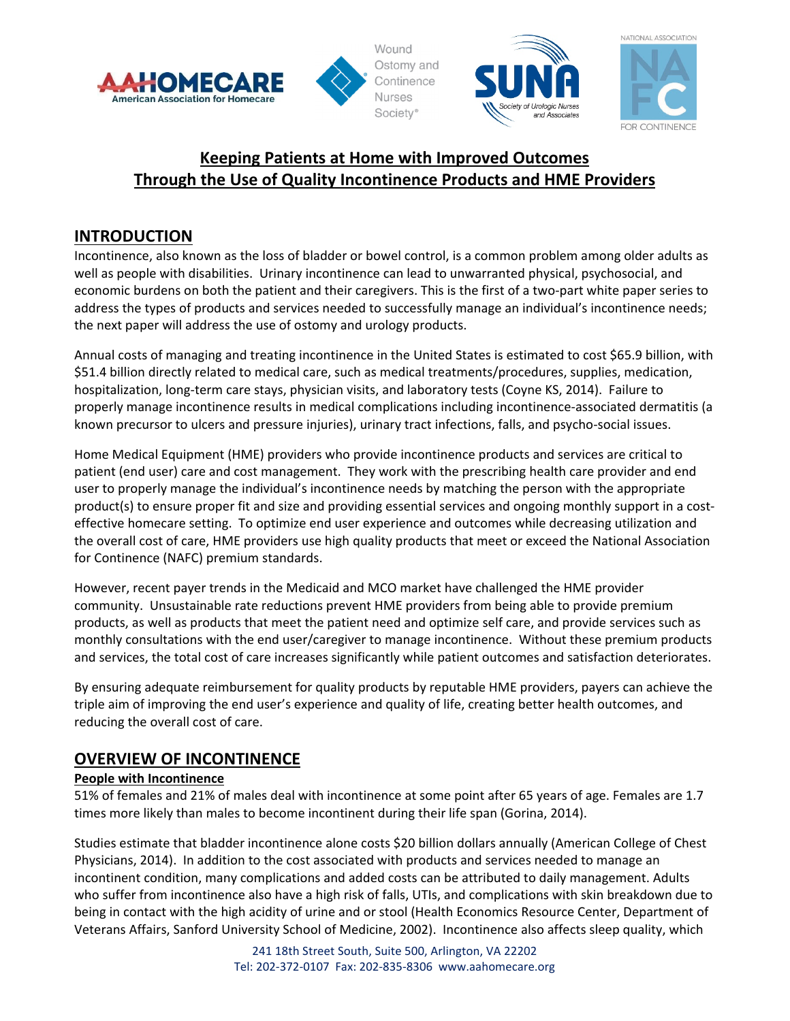

Wound Ostomy and Continence **Nurses** Society<sup>®</sup>





# **Keeping Patients at Home with Improved Outcomes Through the Use of Quality Incontinence Products and HME Providers**

## **INTRODUCTION**

Incontinence, also known as the loss of bladder or bowel control, is a common problem among older adults as well as people with disabilities. Urinary incontinence can lead to unwarranted physical, psychosocial, and economic burdens on both the patient and their caregivers. This is the first of a two-part white paper series to address the types of products and services needed to successfully manage an individual's incontinence needs; the next paper will address the use of ostomy and urology products.

Annual costs of managing and treating incontinence in the United States is estimated to cost \$65.9 billion, with \$51.4 billion directly related to medical care, such as medical treatments/procedures, supplies, medication, hospitalization, long‐term care stays, physician visits, and laboratory tests (Coyne KS, 2014). Failure to properly manage incontinence results in medical complications including incontinence‐associated dermatitis (a known precursor to ulcers and pressure injuries), urinary tract infections, falls, and psycho‐social issues.

Home Medical Equipment (HME) providers who provide incontinence products and services are critical to patient (end user) care and cost management. They work with the prescribing health care provider and end user to properly manage the individual's incontinence needs by matching the person with the appropriate product(s) to ensure proper fit and size and providing essential services and ongoing monthly support in a costeffective homecare setting. To optimize end user experience and outcomes while decreasing utilization and the overall cost of care, HME providers use high quality products that meet or exceed the National Association for Continence (NAFC) premium standards.

However, recent payer trends in the Medicaid and MCO market have challenged the HME provider community. Unsustainable rate reductions prevent HME providers from being able to provide premium products, as well as products that meet the patient need and optimize self care, and provide services such as monthly consultations with the end user/caregiver to manage incontinence. Without these premium products and services, the total cost of care increases significantly while patient outcomes and satisfaction deteriorates.

By ensuring adequate reimbursement for quality products by reputable HME providers, payers can achieve the triple aim of improving the end user's experience and quality of life, creating better health outcomes, and reducing the overall cost of care.

## **OVERVIEW OF INCONTINENCE**

### **People with Incontinence**

51% of females and 21% of males deal with incontinence at some point after 65 years of age. Females are 1.7 times more likely than males to become incontinent during their life span (Gorina, 2014).

Studies estimate that bladder incontinence alone costs \$20 billion dollars annually (American College of Chest Physicians, 2014). In addition to the cost associated with products and services needed to manage an incontinent condition, many complications and added costs can be attributed to daily management. Adults who suffer from incontinence also have a high risk of falls, UTIs, and complications with skin breakdown due to being in contact with the high acidity of urine and or stool (Health Economics Resource Center, Department of Veterans Affairs, Sanford University School of Medicine, 2002). Incontinence also affects sleep quality, which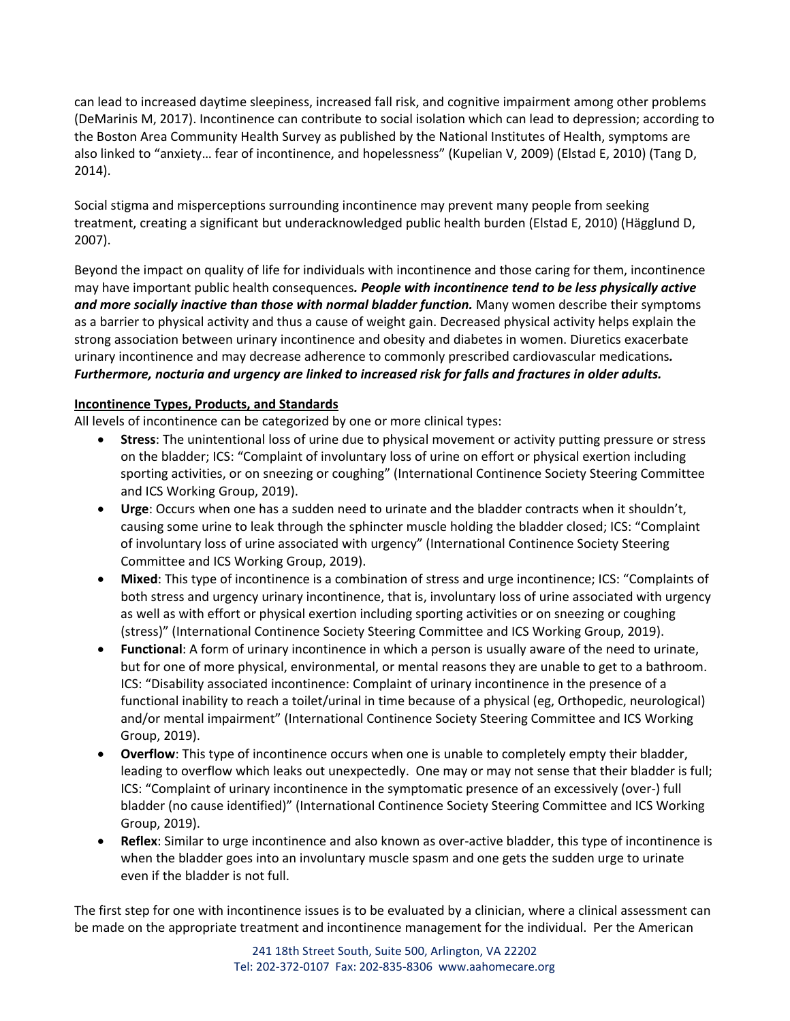can lead to increased daytime sleepiness, increased fall risk, and cognitive impairment among other problems (DeMarinis M, 2017). Incontinence can contribute to social isolation which can lead to depression; according to the Boston Area Community Health Survey as published by the National Institutes of Health, symptoms are also linked to "anxiety… fear of incontinence, and hopelessness" (Kupelian V, 2009) (Elstad E, 2010) (Tang D, 2014).

Social stigma and misperceptions surrounding incontinence may prevent many people from seeking treatment, creating a significant but underacknowledged public health burden (Elstad E, 2010) (Hägglund D, 2007).

Beyond the impact on quality of life for individuals with incontinence and those caring for them, incontinence may have important public health consequences*. People with incontinence tend to be less physically active and more socially inactive than those with normal bladder function.* Many women describe their symptoms as a barrier to physical activity and thus a cause of weight gain. Decreased physical activity helps explain the strong association between urinary incontinence and obesity and diabetes in women. Diuretics exacerbate urinary incontinence and may decrease adherence to commonly prescribed cardiovascular medications*. Furthermore, nocturia and urgency are linked to increased risk for falls and fractures in older adults.*

### **Incontinence Types, Products, and Standards**

All levels of incontinence can be categorized by one or more clinical types:

- **Stress**: The unintentional loss of urine due to physical movement or activity putting pressure or stress on the bladder; ICS: "Complaint of involuntary loss of urine on effort or physical exertion including sporting activities, or on sneezing or coughing" (International Continence Society Steering Committee and ICS Working Group, 2019).
- **Urge**: Occurs when one has a sudden need to urinate and the bladder contracts when it shouldn't, causing some urine to leak through the sphincter muscle holding the bladder closed; ICS: "Complaint of involuntary loss of urine associated with urgency" (International Continence Society Steering Committee and ICS Working Group, 2019).
- **Mixed**: This type of incontinence is a combination of stress and urge incontinence; ICS: "Complaints of both stress and urgency urinary incontinence, that is, involuntary loss of urine associated with urgency as well as with effort or physical exertion including sporting activities or on sneezing or coughing (stress)" (International Continence Society Steering Committee and ICS Working Group, 2019).
- **Functional**: A form of urinary incontinence in which a person is usually aware of the need to urinate, but for one of more physical, environmental, or mental reasons they are unable to get to a bathroom. ICS: "Disability associated incontinence: Complaint of urinary incontinence in the presence of a functional inability to reach a toilet/urinal in time because of a physical (eg, Orthopedic, neurological) and/or mental impairment" (International Continence Society Steering Committee and ICS Working Group, 2019).
- **Overflow**: This type of incontinence occurs when one is unable to completely empty their bladder, leading to overflow which leaks out unexpectedly. One may or may not sense that their bladder is full; ICS: "Complaint of urinary incontinence in the symptomatic presence of an excessively (over‐) full bladder (no cause identified)" (International Continence Society Steering Committee and ICS Working Group, 2019).
- **Reflex**: Similar to urge incontinence and also known as over-active bladder, this type of incontinence is when the bladder goes into an involuntary muscle spasm and one gets the sudden urge to urinate even if the bladder is not full.

The first step for one with incontinence issues is to be evaluated by a clinician, where a clinical assessment can be made on the appropriate treatment and incontinence management for the individual. Per the American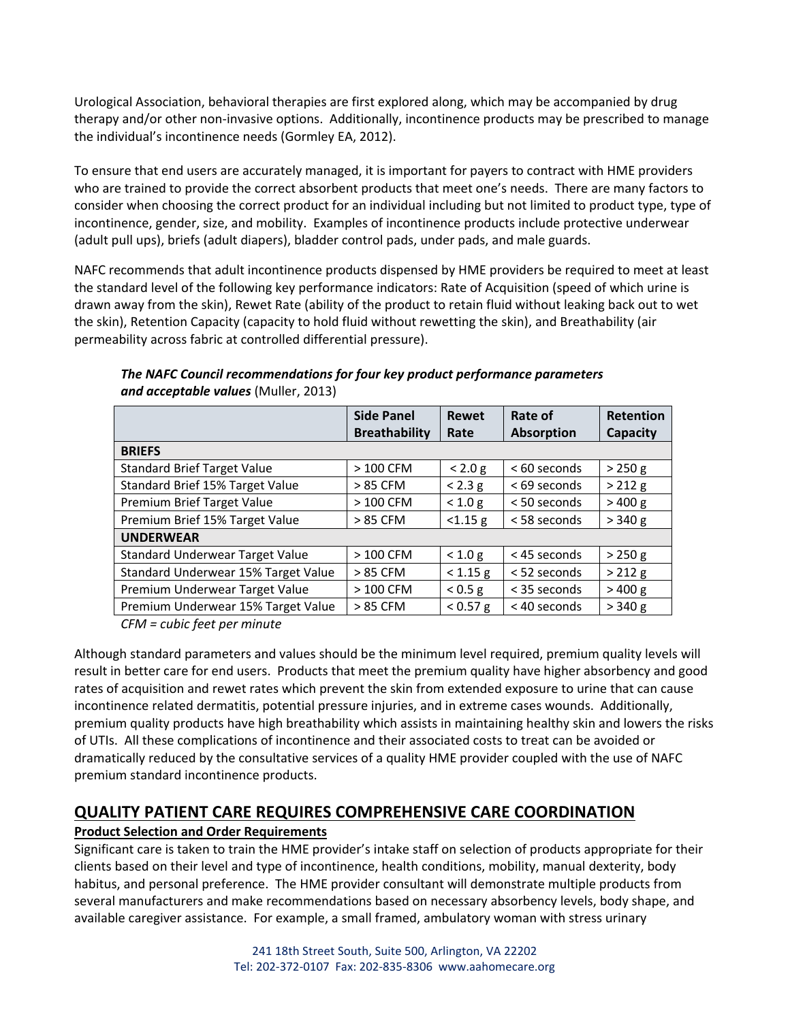Urological Association, behavioral therapies are first explored along, which may be accompanied by drug therapy and/or other non‐invasive options. Additionally, incontinence products may be prescribed to manage the individual's incontinence needs (Gormley EA, 2012).

To ensure that end users are accurately managed, it is important for payers to contract with HME providers who are trained to provide the correct absorbent products that meet one's needs. There are many factors to consider when choosing the correct product for an individual including but not limited to product type, type of incontinence, gender, size, and mobility. Examples of incontinence products include protective underwear (adult pull ups), briefs (adult diapers), bladder control pads, under pads, and male guards.

NAFC recommends that adult incontinence products dispensed by HME providers be required to meet at least the standard level of the following key performance indicators: Rate of Acquisition (speed of which urine is drawn away from the skin), Rewet Rate (ability of the product to retain fluid without leaking back out to wet the skin), Retention Capacity (capacity to hold fluid without rewetting the skin), and Breathability (air permeability across fabric at controlled differential pressure).

|                                     | <b>Side Panel</b>    | <b>Rewet</b> | Rate of           | <b>Retention</b> |
|-------------------------------------|----------------------|--------------|-------------------|------------------|
|                                     | <b>Breathability</b> | Rate         | <b>Absorption</b> | Capacity         |
| <b>BRIEFS</b>                       |                      |              |                   |                  |
| <b>Standard Brief Target Value</b>  | $>100$ CFM           | < 2.0 g      | < 60 seconds      | $>250$ g         |
| Standard Brief 15% Target Value     | > 85 CFM             | < 2.3 g      | < 69 seconds      | > 212 g          |
| Premium Brief Target Value          | $>100$ CFM           | < 1.0 g      | $<$ 50 seconds    | >400 g           |
| Premium Brief 15% Target Value      | > 85 CFM             | < 1.15 g     | < 58 seconds      | > 340 g          |
| <b>UNDERWEAR</b>                    |                      |              |                   |                  |
| Standard Underwear Target Value     | $>100$ CFM           | < 1.0 g      | < 45 seconds      | > 250 g          |
| Standard Underwear 15% Target Value | > 85 CFM             | < 1.15 g     | $<$ 52 seconds    | > 212 g          |
| Premium Underwear Target Value      | $>100$ CFM           | < 0.5 g      | < 35 seconds      | >400 g           |
| Premium Underwear 15% Target Value  | > 85 CFM             | < 0.57 g     | < 40 seconds      | > 340 g          |

*The NAFC Council recommendations for four key product performance parameters and acceptable values* (Muller, 2013)

*CFM = cubic feet per minute*

Although standard parameters and values should be the minimum level required, premium quality levels will result in better care for end users. Products that meet the premium quality have higher absorbency and good rates of acquisition and rewet rates which prevent the skin from extended exposure to urine that can cause incontinence related dermatitis, potential pressure injuries, and in extreme cases wounds. Additionally, premium quality products have high breathability which assists in maintaining healthy skin and lowers the risks of UTIs. All these complications of incontinence and their associated costs to treat can be avoided or dramatically reduced by the consultative services of a quality HME provider coupled with the use of NAFC premium standard incontinence products.

### **QUALITY PATIENT CARE REQUIRES COMPREHENSIVE CARE COORDINATION**

#### **Product Selection and Order Requirements**

Significant care is taken to train the HME provider's intake staff on selection of products appropriate for their clients based on their level and type of incontinence, health conditions, mobility, manual dexterity, body habitus, and personal preference. The HME provider consultant will demonstrate multiple products from several manufacturers and make recommendations based on necessary absorbency levels, body shape, and available caregiver assistance. For example, a small framed, ambulatory woman with stress urinary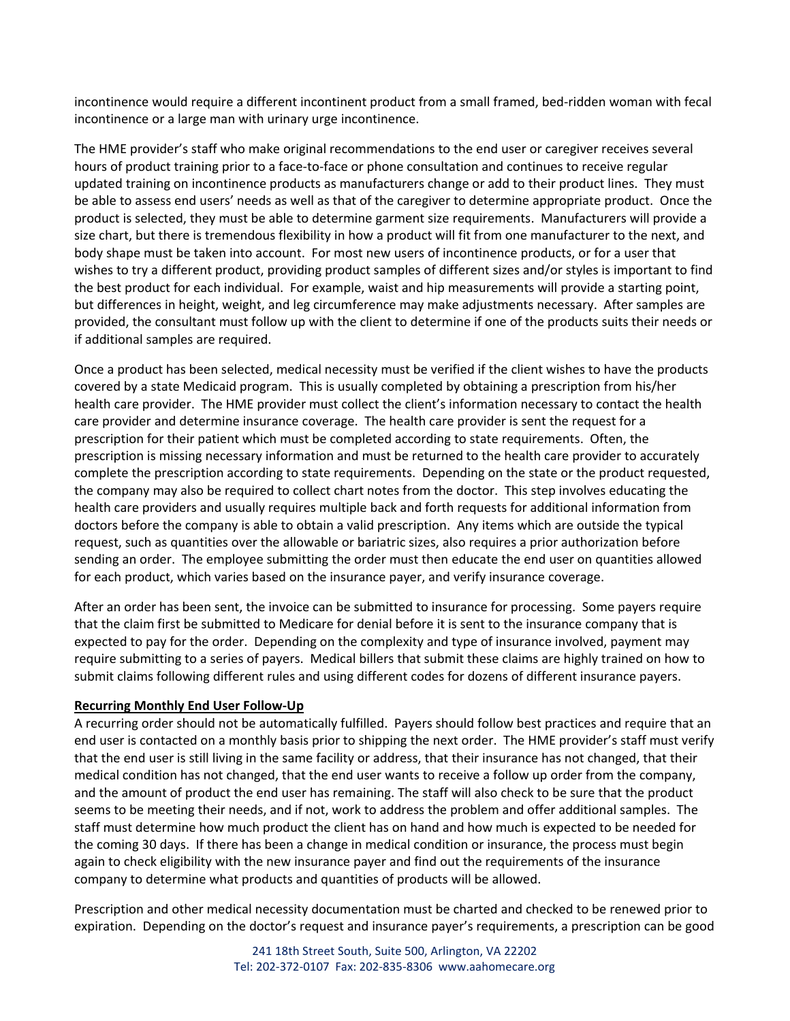incontinence would require a different incontinent product from a small framed, bed‐ridden woman with fecal incontinence or a large man with urinary urge incontinence.

The HME provider's staff who make original recommendations to the end user or caregiver receives several hours of product training prior to a face-to-face or phone consultation and continues to receive regular updated training on incontinence products as manufacturers change or add to their product lines. They must be able to assess end users' needs as well as that of the caregiver to determine appropriate product. Once the product is selected, they must be able to determine garment size requirements. Manufacturers will provide a size chart, but there is tremendous flexibility in how a product will fit from one manufacturer to the next, and body shape must be taken into account. For most new users of incontinence products, or for a user that wishes to try a different product, providing product samples of different sizes and/or styles is important to find the best product for each individual. For example, waist and hip measurements will provide a starting point, but differences in height, weight, and leg circumference may make adjustments necessary. After samples are provided, the consultant must follow up with the client to determine if one of the products suits their needs or if additional samples are required.

Once a product has been selected, medical necessity must be verified if the client wishes to have the products covered by a state Medicaid program. This is usually completed by obtaining a prescription from his/her health care provider. The HME provider must collect the client's information necessary to contact the health care provider and determine insurance coverage. The health care provider is sent the request for a prescription for their patient which must be completed according to state requirements. Often, the prescription is missing necessary information and must be returned to the health care provider to accurately complete the prescription according to state requirements. Depending on the state or the product requested, the company may also be required to collect chart notes from the doctor. This step involves educating the health care providers and usually requires multiple back and forth requests for additional information from doctors before the company is able to obtain a valid prescription. Any items which are outside the typical request, such as quantities over the allowable or bariatric sizes, also requires a prior authorization before sending an order. The employee submitting the order must then educate the end user on quantities allowed for each product, which varies based on the insurance payer, and verify insurance coverage.

After an order has been sent, the invoice can be submitted to insurance for processing. Some payers require that the claim first be submitted to Medicare for denial before it is sent to the insurance company that is expected to pay for the order. Depending on the complexity and type of insurance involved, payment may require submitting to a series of payers. Medical billers that submit these claims are highly trained on how to submit claims following different rules and using different codes for dozens of different insurance payers.

#### **Recurring Monthly End User Follow‐Up**

A recurring order should not be automatically fulfilled. Payers should follow best practices and require that an end user is contacted on a monthly basis prior to shipping the next order. The HME provider's staff must verify that the end user is still living in the same facility or address, that their insurance has not changed, that their medical condition has not changed, that the end user wants to receive a follow up order from the company, and the amount of product the end user has remaining. The staff will also check to be sure that the product seems to be meeting their needs, and if not, work to address the problem and offer additional samples. The staff must determine how much product the client has on hand and how much is expected to be needed for the coming 30 days. If there has been a change in medical condition or insurance, the process must begin again to check eligibility with the new insurance payer and find out the requirements of the insurance company to determine what products and quantities of products will be allowed.

Prescription and other medical necessity documentation must be charted and checked to be renewed prior to expiration. Depending on the doctor's request and insurance payer's requirements, a prescription can be good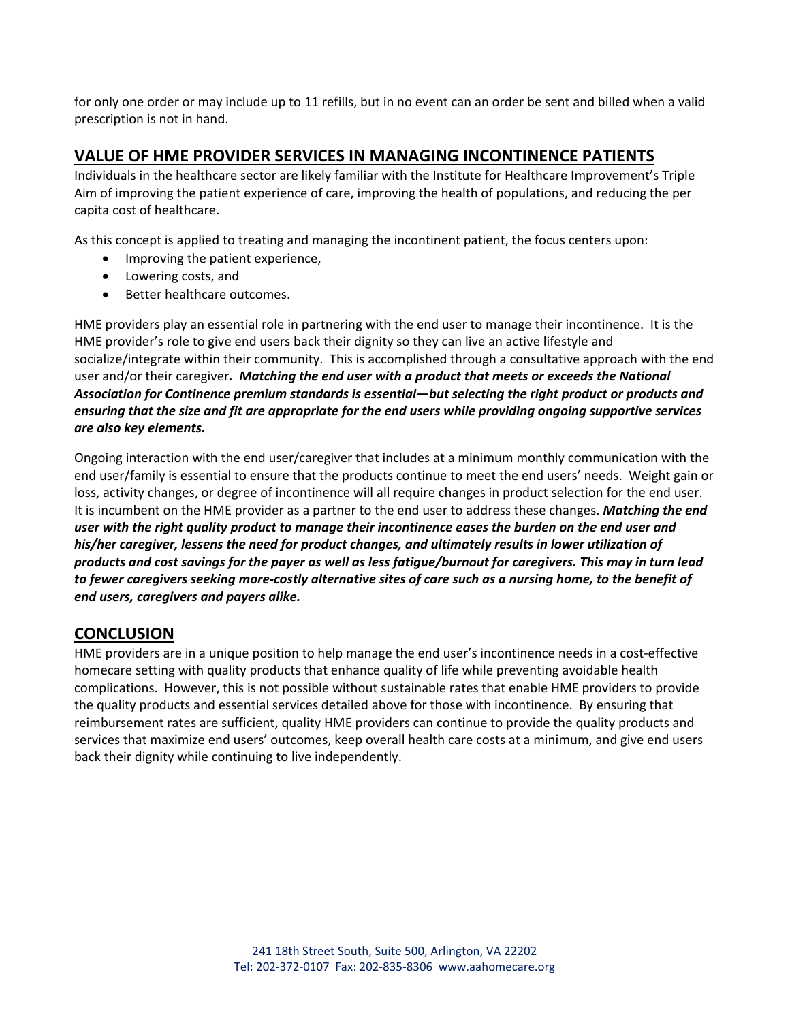for only one order or may include up to 11 refills, but in no event can an order be sent and billed when a valid prescription is not in hand.

### **VALUE OF HME PROVIDER SERVICES IN MANAGING INCONTINENCE PATIENTS**

Individuals in the healthcare sector are likely familiar with the Institute for Healthcare Improvement's Triple Aim of improving the patient experience of care, improving the health of populations, and reducing the per capita cost of healthcare.

As this concept is applied to treating and managing the incontinent patient, the focus centers upon:

- Improving the patient experience,
- Lowering costs, and
- Better healthcare outcomes.

HME providers play an essential role in partnering with the end user to manage their incontinence. It is the HME provider's role to give end users back their dignity so they can live an active lifestyle and socialize/integrate within their community. This is accomplished through a consultative approach with the end user and/or their caregiver*. Matching the end user with a product that meets or exceeds the National Association for Continence premium standards is essential—but selecting the right product or products and* ensuring that the size and fit are appropriate for the end users while providing ongoing supportive services *are also key elements.*

Ongoing interaction with the end user/caregiver that includes at a minimum monthly communication with the end user/family is essential to ensure that the products continue to meet the end users' needs. Weight gain or loss, activity changes, or degree of incontinence will all require changes in product selection for the end user. It is incumbent on the HME provider as a partner to the end user to address these changes. *Matching the end* user with the right quality product to manage their incontinence eases the burden on the end user and *his/her caregiver, lessens the need for product changes, and ultimately results in lower utilization of* products and cost savings for the payer as well as less fatigue/burnout for caregivers. This may in turn lead to fewer caregivers seeking more-costly alternative sites of care such as a nursing home, to the benefit of *end users, caregivers and payers alike.* 

### **CONCLUSION**

HME providers are in a unique position to help manage the end user's incontinence needs in a cost-effective homecare setting with quality products that enhance quality of life while preventing avoidable health complications. However, this is not possible without sustainable rates that enable HME providers to provide the quality products and essential services detailed above for those with incontinence. By ensuring that reimbursement rates are sufficient, quality HME providers can continue to provide the quality products and services that maximize end users' outcomes, keep overall health care costs at a minimum, and give end users back their dignity while continuing to live independently.